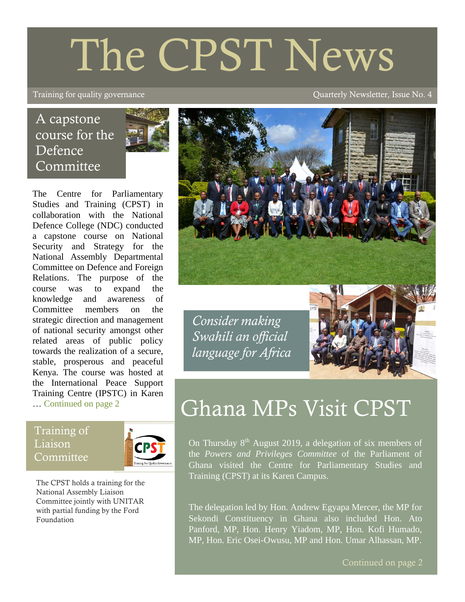# The CPST News

#### Training for quality governance and the contract of the contract of Quarterly Newsletter, Issue No. 4

# A capstone course for the Defence **Committee**



The Centre for Parliamentary Studies and Training (CPST) in collaboration with the National Defence College (NDC) conducted a capstone course on National Security and Strategy for the National Assembly Departmental Committee on Defence and Foreign Relations. The purpose of the course was to expand the knowledge and awareness of Committee members on the strategic direction and management of national security amongst other related areas of public policy towards the realization of a secure, stable, prosperous and peaceful Kenya. The course was hosted at the International Peace Support Training Centre (IPSTC) in Karen … Continued on page 2

Training of Liaison Committee



The CPST holds a training for the National Assembly Liaison Committee jointly with UNITAR with partial funding by the Ford Foundation



*Consider making Swahili an official language for Africa*



# Ghana MPs Visit CPST

On Thursday  $8<sup>th</sup>$  August 2019, a delegation of six members of the *Powers and Privileges Committee* of the Parliament of Ghana visited the Centre for Parliamentary Studies and Training (CPST) at its Karen Campus.

The delegation led by Hon. Andrew Egyapa Mercer, the MP for Sekondi Constituency in Ghana also included Hon. Ato Panford, MP, Hon. Henry Yiadom, MP, Hon. Kofi Humado, MP, Hon. Eric Osei-Owusu, MP and Hon. Umar Alhassan, MP.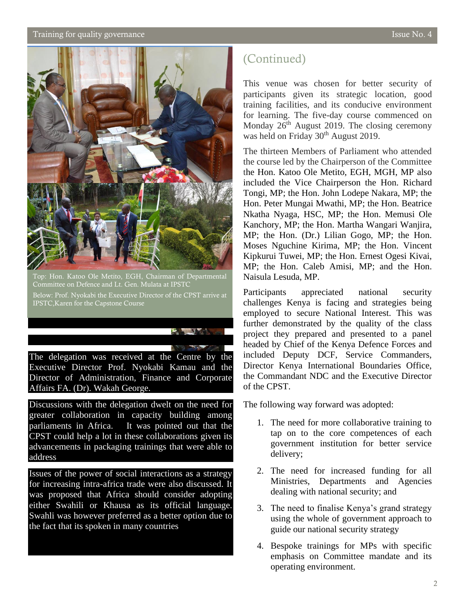#### $\alpha$  Training for quality governance  $\alpha$  is the  $\alpha$  -form  $\alpha$  is the  $\alpha$  -form  $\alpha$  -form  $\alpha$  -form  $\alpha$  -form  $\alpha$  -form  $\alpha$  -form  $\alpha$  -form  $\alpha$  -form  $\alpha$  -form  $\alpha$  -form  $\alpha$  -form  $\alpha$  -form  $\alpha$  -form  $\alpha$  -



Top: Hon. Katoo Ole Metito, EGH, Chairman of Departmental Committee on Defence and Lt. Gen. Mulata at IPSTC Below: Prof. Nyokabi the Executive Director of the CPST arrive at IPSTC,Karen for the Capstone Course

The delegation was received at the Centre by the Executive Director Prof. Nyokabi Kamau and the Director of Administration, Finance and Corporate Affairs FA. (Dr). Wakah George.

Discussions with the delegation dwelt on the need for greater collaboration in capacity building among parliaments in Africa. It was pointed out that the CPST could help a lot in these collaborations given its advancements in packaging trainings that were able to address

Issues of the power of social interactions as a strategy for increasing intra-africa trade were also discussed. It was proposed that Africa should consider adopting either Swahili or Khausa as its official language. Swahli was however preferred as a better option due to the fact that its spoken in many countries

## (Continued)

This venue was chosen for better security of participants given its strategic location, good training facilities, and its conducive environment for learning. The five-day course commenced on Monday  $26<sup>th</sup>$  August 2019. The closing ceremony was held on Friday 30<sup>th</sup> August 2019.

The thirteen Members of Parliament who attended the course led by the Chairperson of the Committee the Hon. Katoo Ole Metito, EGH, MGH, MP also included the Vice Chairperson the Hon. Richard Tongi, MP; the Hon. John Lodepe Nakara, MP; the Hon. Peter Mungai Mwathi, MP; the Hon. Beatrice Nkatha Nyaga, HSC, MP; the Hon. Memusi Ole Kanchory, MP; the Hon. Martha Wangari Wanjira, MP; the Hon. (Dr.) Lilian Gogo, MP; the Hon. Moses Nguchine Kirima, MP; the Hon. Vincent Kipkurui Tuwei, MP; the Hon. Ernest Ogesi Kivai, MP; the Hon. Caleb Amisi, MP; and the Hon. Naisula Lesuda, MP.

Participants appreciated national security challenges Kenya is facing and strategies being employed to secure National Interest. This was further demonstrated by the quality of the class project they prepared and presented to a panel headed by Chief of the Kenya Defence Forces and included Deputy DCF, Service Commanders, Director Kenya International Boundaries Office, the Commandant NDC and the Executive Director of the CPST.

The following way forward was adopted:

- 1. The need for more collaborative training to tap on to the core competences of each government institution for better service delivery;
- 2. The need for increased funding for all Ministries, Departments and Agencies dealing with national security; and
- 3. The need to finalise Kenya's grand strategy using the whole of government approach to guide our national security strategy
- 4. Bespoke trainings for MPs with specific emphasis on Committee mandate and its operating environment.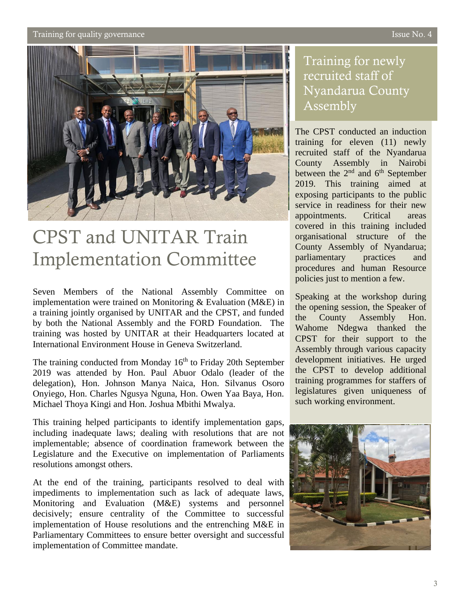Training for quality governance **Issue No. 4** Training for quality governance



# CPST and UNITAR Train Implementation Committee

Seven Members of the National Assembly Committee on implementation were trained on Monitoring & Evaluation (M&E) in a training jointly organised by UNITAR and the CPST, and funded by both the National Assembly and the FORD Foundation. The training was hosted by UNITAR at their Headquarters located at International Environment House in Geneva Switzerland.

The training conducted from Monday  $16<sup>th</sup>$  to Friday 20th September 2019 was attended by Hon. Paul Abuor Odalo (leader of the delegation), Hon. Johnson Manya Naica, Hon. Silvanus Osoro Onyiego, Hon. Charles Ngusya Nguna, Hon. Owen Yaa Baya, Hon. Michael Thoya Kingi and Hon. Joshua Mbithi Mwalya.

This training helped participants to identify implementation gaps, including inadequate laws; dealing with resolutions that are not implementable; absence of coordination framework between the Legislature and the Executive on implementation of Parliaments resolutions amongst others.

At the end of the training, participants resolved to deal with impediments to implementation such as lack of adequate laws, Monitoring and Evaluation (M&E) systems and personnel decisively; ensure centrality of the Committee to successful implementation of House resolutions and the entrenching M&E in Parliamentary Committees to ensure better oversight and successful implementation of Committee mandate.

## Training for newly recruited staff of Nyandarua County Assembly

The CPST conducted an induction training for eleven (11) newly recruited staff of the Nyandarua County Assembly in Nairobi between the 2<sup>nd</sup> and 6<sup>th</sup> September 2019. This training aimed at exposing participants to the public service in readiness for their new appointments. Critical areas covered in this training included organisational structure of the County Assembly of Nyandarua; parliamentary practices and procedures and human Resource policies just to mention a few.

Speaking at the workshop during the opening session, the Speaker of the County Assembly Hon. Wahome Ndegwa thanked the CPST for their support to the Assembly through various capacity development initiatives. He urged the CPST to develop additional training programmes for staffers of legislatures given uniqueness of such working environment.